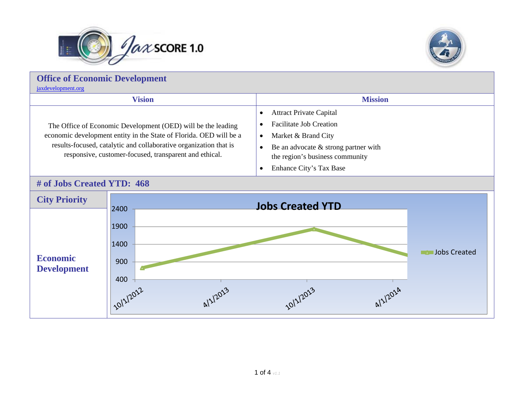



## **Office of Economic Development** [jaxdevelopment.org](http://www.coj.net/departments/office-of-economic-development.aspx) **Vision Mission** The Office of Economic Development (OED) will be the leading economic development entity in the State of Florida. OED will be a results-focused, catalytic and collaborative organization that is responsive, customer-focused, transparent and ethical.  $\bullet$  Attract Private Capital  $\bullet$  Facilitate Job Creation  $\bullet$  Market & Brand City  $\bullet$  Be an advocate & strong partner with the region's business community • Enhance City's Tax Base

## **# of Jobs Created YTD: 468**

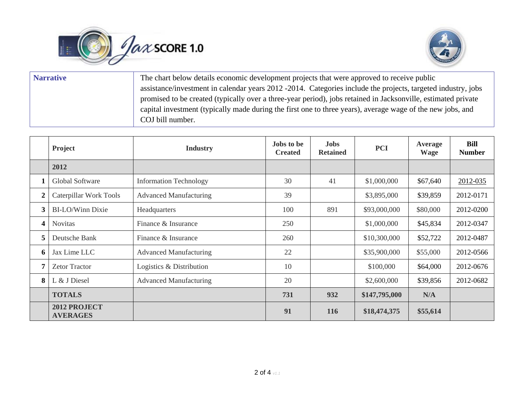



| <b>Narrative</b> | The chart below details economic development projects that were approved to receive public                    |  |  |  |  |
|------------------|---------------------------------------------------------------------------------------------------------------|--|--|--|--|
|                  | assistance/investment in calendar years 2012 - 2014. Categories include the projects, targeted industry, jobs |  |  |  |  |
|                  | promised to be created (typically over a three-year period), jobs retained in Jacksonville, estimated private |  |  |  |  |
|                  | capital investment (typically made during the first one to three years), average wage of the new jobs, and    |  |  |  |  |
|                  | COJ bill number.                                                                                              |  |  |  |  |

|                  | Project                         | <b>Industry</b>               | <b>Jobs</b> to be<br><b>Created</b> | <b>Jobs</b><br><b>Retained</b> | <b>PCI</b>    | Average<br><b>Wage</b> | <b>Bill</b><br><b>Number</b> |
|------------------|---------------------------------|-------------------------------|-------------------------------------|--------------------------------|---------------|------------------------|------------------------------|
|                  | 2012                            |                               |                                     |                                |               |                        |                              |
|                  | Global Software                 | <b>Information Technology</b> | 30                                  | 41                             | \$1,000,000   | \$67,640               | 2012-035                     |
| $\boldsymbol{2}$ | Caterpillar Work Tools          | <b>Advanced Manufacturing</b> | 39                                  |                                | \$3,895,000   | \$39,859               | 2012-0171                    |
| 3                | <b>BI-LO/Winn Dixie</b>         | Headquarters                  | 100                                 | 891                            | \$93,000,000  | \$80,000               | 2012-0200                    |
| 4                | <b>Novitas</b>                  | Finance & Insurance           | 250                                 |                                | \$1,000,000   | \$45,834               | 2012-0347                    |
| 5                | Deutsche Bank                   | Finance & Insurance           | 260                                 |                                | \$10,300,000  | \$52,722               | 2012-0487                    |
| 6                | Jax Lime LLC                    | <b>Advanced Manufacturing</b> | 22                                  |                                | \$35,900,000  | \$55,000               | 2012-0566                    |
| 7                | <b>Zetor Tractor</b>            | Logistics & Distribution      | 10                                  |                                | \$100,000     | \$64,000               | 2012-0676                    |
| 8                | L & J Diesel                    | <b>Advanced Manufacturing</b> | 20                                  |                                | \$2,600,000   | \$39,856               | 2012-0682                    |
|                  | <b>TOTALS</b>                   |                               | 731                                 | 932                            | \$147,795,000 | N/A                    |                              |
|                  | 2012 PROJECT<br><b>AVERAGES</b> |                               | 91                                  | <b>116</b>                     | \$18,474,375  | \$55,614               |                              |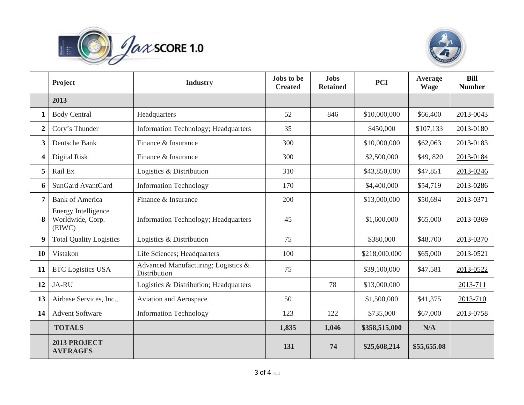



|                  | Project                                           | <b>Industry</b>                                     | Jobs to be<br><b>Created</b> | <b>Jobs</b><br><b>Retained</b> | <b>PCI</b>    | Average<br><b>Wage</b> | <b>Bill</b><br><b>Number</b> |
|------------------|---------------------------------------------------|-----------------------------------------------------|------------------------------|--------------------------------|---------------|------------------------|------------------------------|
|                  | 2013                                              |                                                     |                              |                                |               |                        |                              |
| 1                | <b>Body Central</b>                               | Headquarters                                        | 52                           | 846                            | \$10,000,000  | \$66,400               | 2013-0043                    |
| $\boldsymbol{2}$ | Cory's Thunder                                    | Information Technology; Headquarters                | 35                           |                                | \$450,000     | \$107,133              | 2013-0180                    |
| 3                | Deutsche Bank                                     | Finance & Insurance                                 | 300                          |                                | \$10,000,000  | \$62,063               | 2013-0183                    |
| 4                | Digital Risk                                      | Finance & Insurance                                 | 300                          |                                | \$2,500,000   | \$49,820               | 2013-0184                    |
| 5                | Rail Ex                                           | Logistics & Distribution                            | 310                          |                                | \$43,850,000  | \$47,851               | 2013-0246                    |
| 6                | SunGard AvantGard                                 | <b>Information Technology</b>                       | 170                          |                                | \$4,400,000   | \$54,719               | 2013-0286                    |
| 7                | <b>Bank of America</b>                            | Finance & Insurance                                 | 200                          |                                | \$13,000,000  | \$50,694               | 2013-0371                    |
| 8                | Energy Intelligence<br>Worldwide, Corp.<br>(EIWC) | Information Technology; Headquarters                | 45                           |                                | \$1,600,000   | \$65,000               | 2013-0369                    |
| 9                | <b>Total Quality Logistics</b>                    | Logistics & Distribution                            | 75                           |                                | \$380,000     | \$48,700               | 2013-0370                    |
| 10               | Vistakon                                          | Life Sciences; Headquarters                         | 100                          |                                | \$218,000,000 | \$65,000               | 2013-0521                    |
| 11               | <b>ETC Logistics USA</b>                          | Advanced Manufacturing; Logistics &<br>Distribution | 75                           |                                | \$39,100,000  | \$47,581               | 2013-0522                    |
| 12               | JA-RU                                             | Logistics & Distribution; Headquarters              |                              | 78                             | \$13,000,000  |                        | 2013-711                     |
| 13               | Airbase Services, Inc.,                           | Aviation and Aerospace                              | 50                           |                                | \$1,500,000   | \$41,375               | 2013-710                     |
| 14               | <b>Advent Software</b>                            | <b>Information Technology</b>                       | 123                          | 122                            | \$735,000     | \$67,000               | 2013-0758                    |
|                  | <b>TOTALS</b>                                     |                                                     | 1,835                        | 1,046                          | \$358,515,000 | N/A                    |                              |
|                  | 2013 PROJECT<br><b>AVERAGES</b>                   |                                                     | 131                          | 74                             | \$25,608,214  | \$55,655.08            |                              |